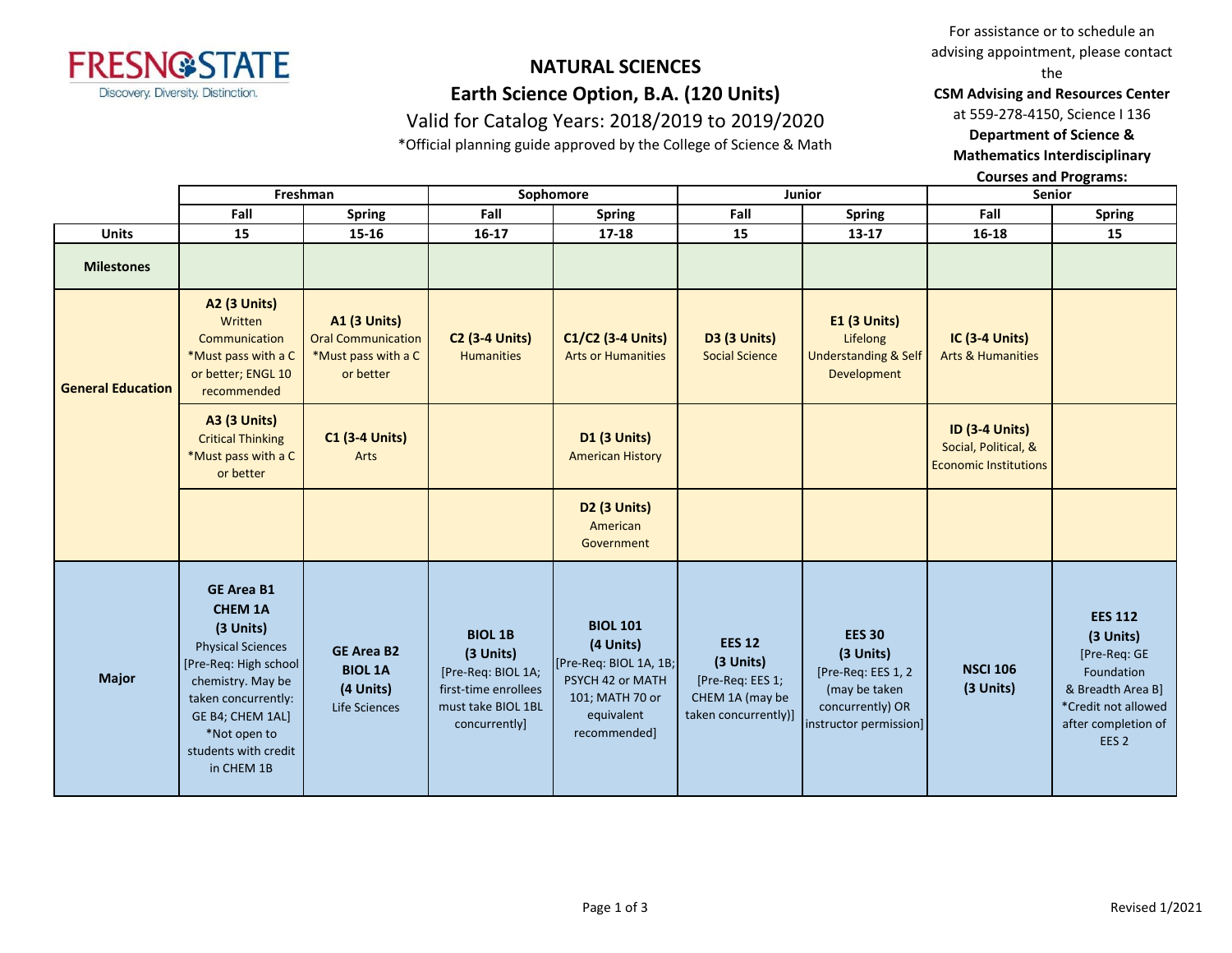

# **NATURAL SCIENCES Earth Science Option, B.A. (120 Units)**

Valid for Catalog Years: 2018/2019 to 2019/2020

\*Official planning guide approved by the College of Science & Math

For assistance or to schedule an advising appointment, please contact the

**CSM Advising and Resources Center**

at 559-278-4150, Science I 136

**Department of Science &** 

**Mathematics Interdisciplinary** 

**Courses and Programs:**

|                          | Freshman<br>Sophomore<br>Junior                                                                                                                                                                                              |                                                                                      | <b>Senior</b>                                                                                                    |                                                                                                                             |                                                                                           |                                                                                                                 |                                                                               |                                                                                                                                                  |
|--------------------------|------------------------------------------------------------------------------------------------------------------------------------------------------------------------------------------------------------------------------|--------------------------------------------------------------------------------------|------------------------------------------------------------------------------------------------------------------|-----------------------------------------------------------------------------------------------------------------------------|-------------------------------------------------------------------------------------------|-----------------------------------------------------------------------------------------------------------------|-------------------------------------------------------------------------------|--------------------------------------------------------------------------------------------------------------------------------------------------|
|                          | Fall                                                                                                                                                                                                                         | <b>Spring</b>                                                                        | Fall                                                                                                             | <b>Spring</b>                                                                                                               | Fall                                                                                      | <b>Spring</b>                                                                                                   | Fall                                                                          | <b>Spring</b>                                                                                                                                    |
| <b>Units</b>             | 15                                                                                                                                                                                                                           | 15-16                                                                                | 16-17                                                                                                            | 17-18                                                                                                                       | 15                                                                                        | 13-17                                                                                                           | 16-18                                                                         | 15                                                                                                                                               |
| <b>Milestones</b>        |                                                                                                                                                                                                                              |                                                                                      |                                                                                                                  |                                                                                                                             |                                                                                           |                                                                                                                 |                                                                               |                                                                                                                                                  |
| <b>General Education</b> | <b>A2 (3 Units)</b><br>Written<br>Communication<br>*Must pass with a C<br>or better; ENGL 10<br>recommended                                                                                                                  | <b>A1 (3 Units)</b><br><b>Oral Communication</b><br>*Must pass with a C<br>or better | <b>C2 (3-4 Units)</b><br><b>Humanities</b>                                                                       | C1/C2 (3-4 Units)<br><b>Arts or Humanities</b>                                                                              | <b>D3 (3 Units)</b><br><b>Social Science</b>                                              | <b>E1 (3 Units)</b><br>Lifelong<br><b>Understanding &amp; Self</b><br>Development                               | IC (3-4 Units)<br><b>Arts &amp; Humanities</b>                                |                                                                                                                                                  |
|                          | <b>A3 (3 Units)</b><br><b>Critical Thinking</b><br>*Must pass with a C<br>or better                                                                                                                                          | <b>C1 (3-4 Units)</b><br>Arts                                                        |                                                                                                                  | <b>D1 (3 Units)</b><br><b>American History</b>                                                                              |                                                                                           |                                                                                                                 | <b>ID (3-4 Units)</b><br>Social, Political, &<br><b>Economic Institutions</b> |                                                                                                                                                  |
|                          |                                                                                                                                                                                                                              |                                                                                      |                                                                                                                  | <b>D2 (3 Units)</b><br>American<br>Government                                                                               |                                                                                           |                                                                                                                 |                                                                               |                                                                                                                                                  |
| <b>Major</b>             | <b>GE Area B1</b><br><b>CHEM 1A</b><br>(3 Units)<br><b>Physical Sciences</b><br>[Pre-Req: High school]<br>chemistry. May be<br>taken concurrently:<br>GE B4; CHEM 1AL]<br>*Not open to<br>students with credit<br>in CHEM 1B | <b>GE Area B2</b><br><b>BIOL 1A</b><br>(4 Units)<br>Life Sciences                    | <b>BIOL 1B</b><br>(3 Units)<br>[Pre-Req: BIOL 1A;<br>first-time enrollees<br>must take BIOL 1BL<br>concurrently] | <b>BIOL 101</b><br>(4 Units)<br>[Pre-Req: BIOL 1A, 1B;<br>PSYCH 42 or MATH<br>101; MATH 70 or<br>equivalent<br>recommended] | <b>EES 12</b><br>(3 Units)<br>[Pre-Req: EES 1;<br>CHEM 1A (may be<br>taken concurrently)] | <b>EES 30</b><br>(3 Units)<br>[Pre-Req: EES 1, 2<br>(may be taken<br>concurrently) OR<br>instructor permission] | <b>NSCI 106</b><br>(3 Units)                                                  | <b>EES 112</b><br>(3 Units)<br>[Pre-Req: GE<br>Foundation<br>& Breadth Area B]<br>*Credit not allowed<br>after completion of<br>EES <sub>2</sub> |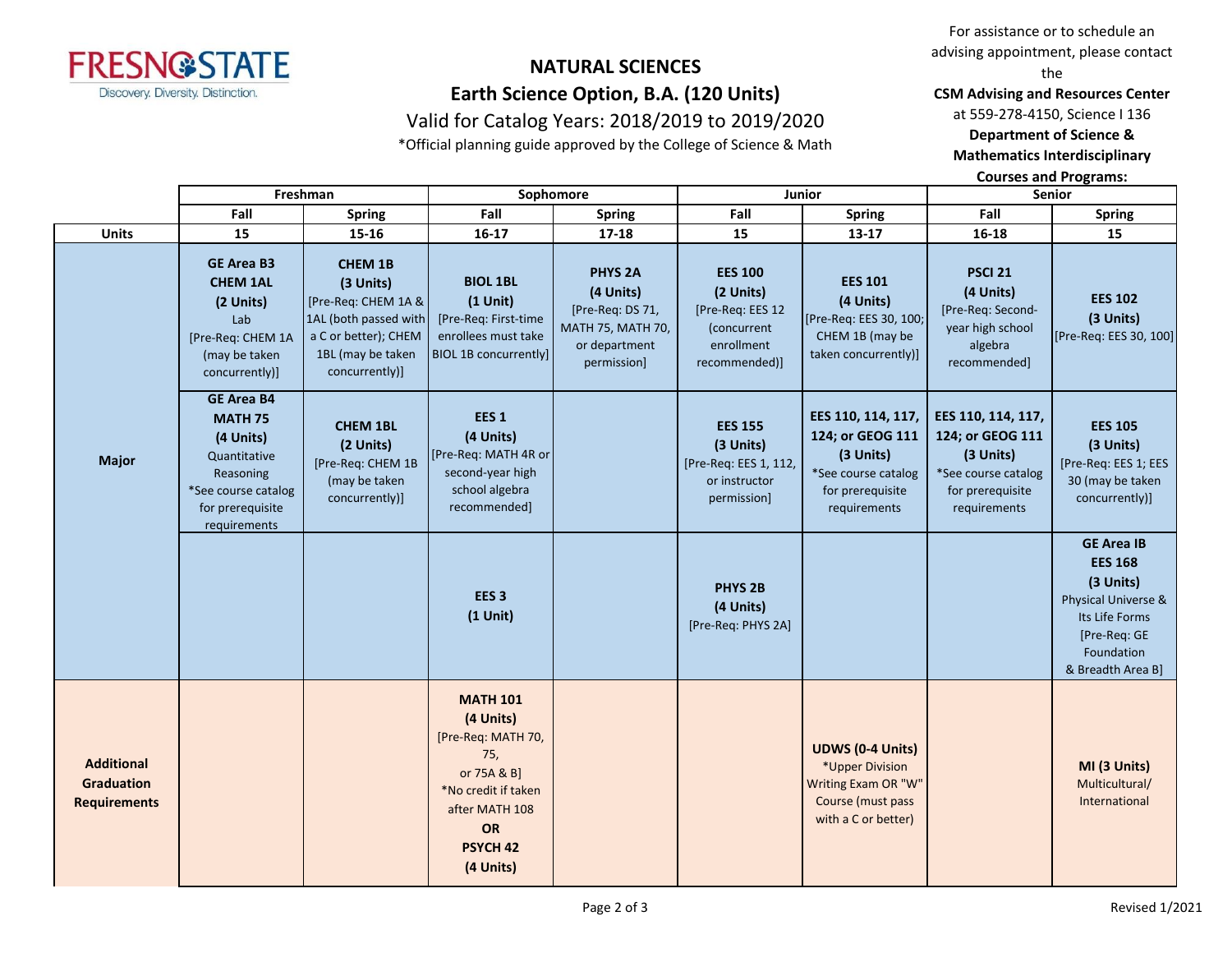

# **NATURAL SCIENCES Earth Science Option, B.A. (120 Units)**

### Valid for Catalog Years: 2018/2019 to 2019/2020

\*Official planning guide approved by the College of Science & Math

For assistance or to schedule an advising appointment, please contact the

**CSM Advising and Resources Center**

at 559-278-4150, Science I 136

**Department of Science & Mathematics Interdisciplinary** 

**Courses and Programs:**

|                                                               |                                                                                                                                          | Freshman<br>Sophomore<br>Junior                                                                                                            |                                                                                                                                                             | <b>Senior</b>                                                                                            |                                                                                               |                                                                                                                |                                                                                                                |                                                                                                                                              |
|---------------------------------------------------------------|------------------------------------------------------------------------------------------------------------------------------------------|--------------------------------------------------------------------------------------------------------------------------------------------|-------------------------------------------------------------------------------------------------------------------------------------------------------------|----------------------------------------------------------------------------------------------------------|-----------------------------------------------------------------------------------------------|----------------------------------------------------------------------------------------------------------------|----------------------------------------------------------------------------------------------------------------|----------------------------------------------------------------------------------------------------------------------------------------------|
|                                                               | Fall                                                                                                                                     | <b>Spring</b>                                                                                                                              | Fall                                                                                                                                                        | <b>Spring</b>                                                                                            | Fall                                                                                          | <b>Spring</b>                                                                                                  | Fall                                                                                                           | <b>Spring</b>                                                                                                                                |
| <b>Units</b>                                                  | 15                                                                                                                                       | 15-16                                                                                                                                      | 16-17                                                                                                                                                       | $17 - 18$                                                                                                | 15                                                                                            | 13-17                                                                                                          | $16 - 18$                                                                                                      | 15                                                                                                                                           |
| <b>Major</b>                                                  | <b>GE Area B3</b><br><b>CHEM 1AL</b><br>(2 Units)<br>Lab<br>[Pre-Req: CHEM 1A<br>(may be taken<br>concurrently)]                         | <b>CHEM 1B</b><br>(3 Units)<br>[Pre-Req: CHEM 1A &<br>1AL (both passed with<br>a C or better); CHEM<br>1BL (may be taken<br>concurrently)] | <b>BIOL 1BL</b><br>$(1$ Unit)<br>[Pre-Req: First-time<br>enrollees must take<br><b>BIOL 1B concurrently]</b>                                                | PHYS <sub>2A</sub><br>(4 Units)<br>[Pre-Req: DS 71,<br>MATH 75, MATH 70,<br>or department<br>permission] | <b>EES 100</b><br>(2 Units)<br>[Pre-Req: EES 12<br>(concurrent<br>enrollment<br>recommended)] | <b>EES 101</b><br>(4 Units)<br>[Pre-Req: EES 30, 100;<br>CHEM 1B (may be<br>taken concurrently)]               | <b>PSCI 21</b><br>(4 Units)<br>[Pre-Req: Second-<br>year high school<br>algebra<br>recommended]                | <b>EES 102</b><br>(3 Units)<br>[Pre-Req: EES 30, 100]                                                                                        |
|                                                               | <b>GE Area B4</b><br><b>MATH 75</b><br>(4 Units)<br>Quantitative<br>Reasoning<br>*See course catalog<br>for prerequisite<br>requirements | <b>CHEM 1BL</b><br>(2 Units)<br>[Pre-Req: CHEM 1B<br>(may be taken<br>concurrently)]                                                       | EES <sub>1</sub><br>(4 Units)<br>[Pre-Req: MATH 4R or<br>second-year high<br>school algebra<br>recommended]                                                 |                                                                                                          | <b>EES 155</b><br>(3 Units)<br>[Pre-Req: EES 1, 112,<br>or instructor<br>permission]          | EES 110, 114, 117,<br>124; or GEOG 111<br>(3 Units)<br>*See course catalog<br>for prerequisite<br>requirements | EES 110, 114, 117,<br>124; or GEOG 111<br>(3 Units)<br>*See course catalog<br>for prerequisite<br>requirements | <b>EES 105</b><br>(3 Units)<br>[Pre-Req: EES 1; EES<br>30 (may be taken<br>concurrently)]                                                    |
|                                                               |                                                                                                                                          |                                                                                                                                            | EES <sub>3</sub><br>$(1$ Unit)                                                                                                                              |                                                                                                          | PHYS <sub>2B</sub><br>(4 Units)<br>[Pre-Req: PHYS 2A]                                         |                                                                                                                |                                                                                                                | <b>GE Area IB</b><br><b>EES 168</b><br>(3 Units)<br>Physical Universe &<br>Its Life Forms<br>[Pre-Req: GE<br>Foundation<br>& Breadth Area B] |
| <b>Additional</b><br><b>Graduation</b><br><b>Requirements</b> |                                                                                                                                          |                                                                                                                                            | <b>MATH 101</b><br>(4 Units)<br>[Pre-Req: MATH 70,<br>75,<br>or 75A & B]<br>*No credit if taken<br>after MATH 108<br>OR<br>PSYCH <sub>42</sub><br>(4 Units) |                                                                                                          |                                                                                               | <b>UDWS (0-4 Units)</b><br>*Upper Division<br>Writing Exam OR "W"<br>Course (must pass<br>with a C or better)  |                                                                                                                | MI (3 Units)<br>Multicultural/<br>International                                                                                              |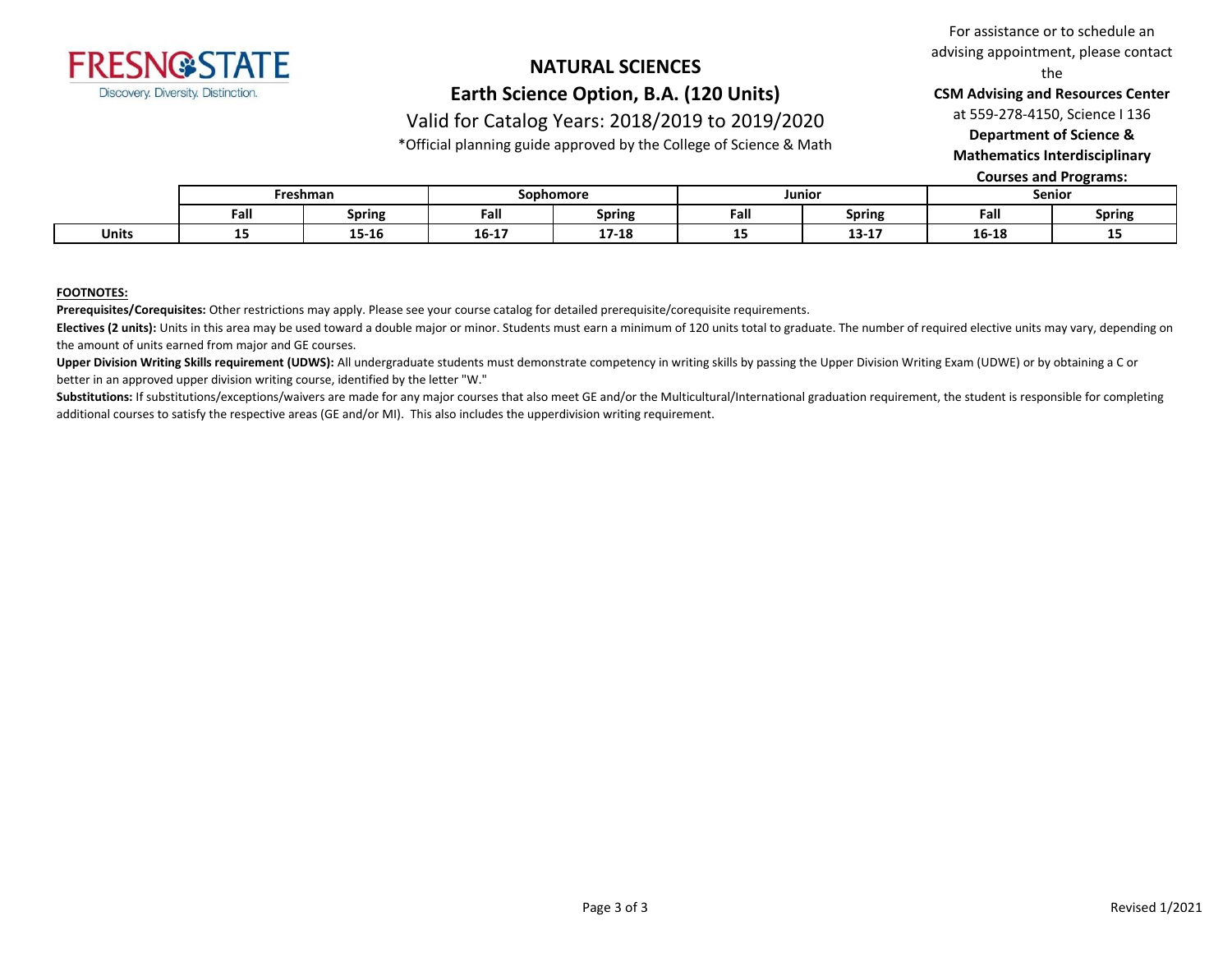

## **NATURAL SCIENCES Earth Science Option, B.A. (120 Units)**

For assistance or to schedule an advising appointment, please contact the

**CSM Advising and Resources Center**

at 559-278-4150, Science I 136

**Department of Science &** 

**Mathematics Interdisciplinary** 

**Courses and Programs:**

|              | Freshman |               | Sophomore |               | Junioi |                               | Senior |               |
|--------------|----------|---------------|-----------|---------------|--------|-------------------------------|--------|---------------|
|              | Fall     | <b>Spring</b> | Fall      | <b>Spring</b> | Fall   | <b>Spring</b>                 | Fall   | <b>Spring</b> |
| <b>Units</b> | --       | 15-16         | $16 - 17$ | 1710<br>11-TQ | --     | $\sim$ $\sim$ $\sim$<br>13-TI | 16-18  | --            |

Valid for Catalog Years: 2018/2019 to 2019/2020 \*Official planning guide approved by the College of Science & Math

#### **FOOTNOTES:**

**Prerequisites/Corequisites:** Other restrictions may apply. Please see your course catalog for detailed prerequisite/corequisite requirements.

Electives (2 units): Units in this area may be used toward a double major or minor. Students must earn a minimum of 120 units total to graduate. The number of required elective units may vary, depending on the amount of units earned from major and GE courses.

Upper Division Writing Skills requirement (UDWS): All undergraduate students must demonstrate competency in writing skills by passing the Upper Division Writing Exam (UDWE) or by obtaining a C or better in an approved upper division writing course, identified by the letter "W."

Substitutions: If substitutions/exceptions/waivers are made for any major courses that also meet GE and/or the Multicultural/International graduation requirement, the student is responsible for completing additional courses to satisfy the respective areas (GE and/or MI). This also includes the upperdivision writing requirement.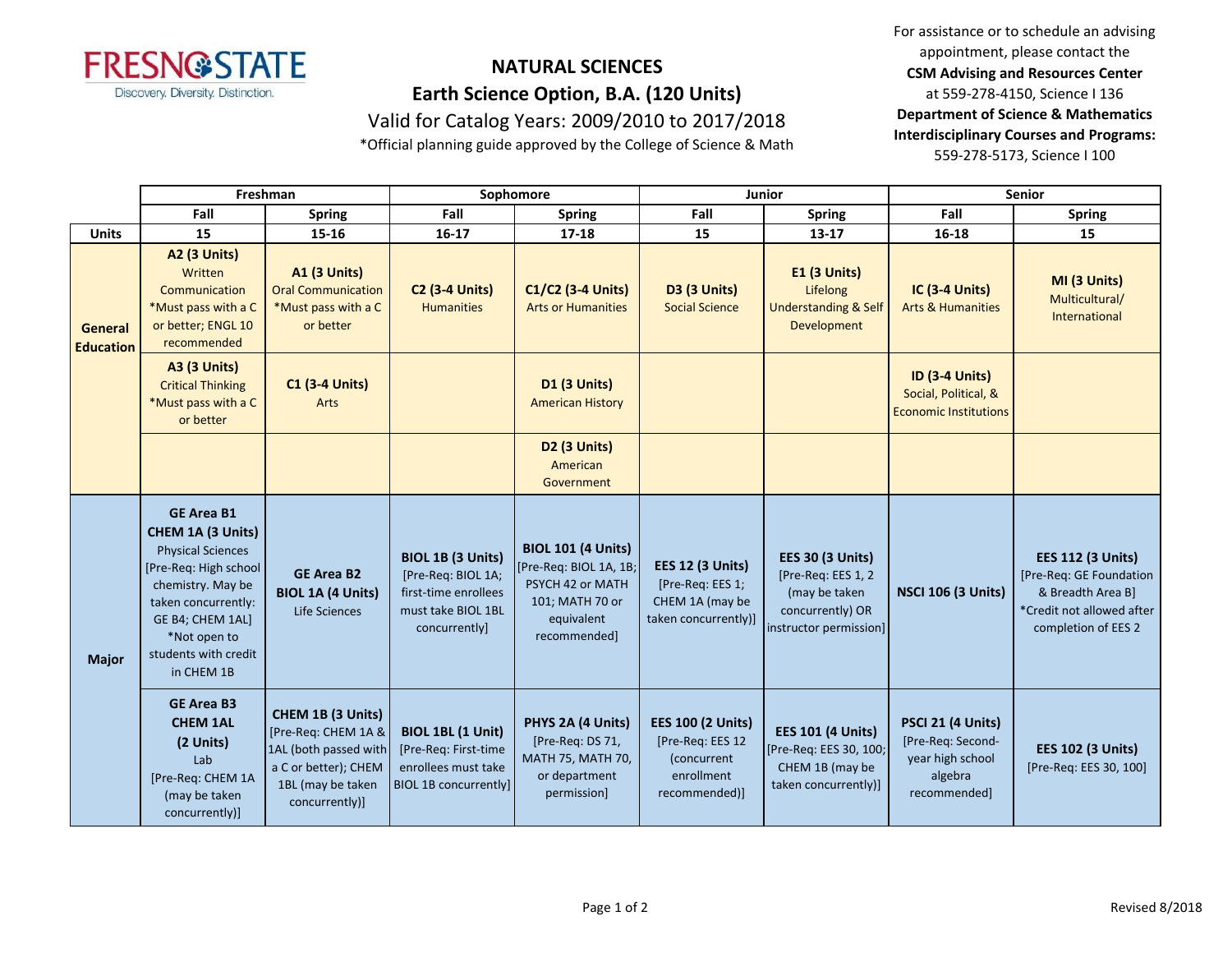

## **NATURAL SCIENCES Earth Science Option, B.A. (120 Units)** Valid for Catalog Years: 2009/2010 to 2017/2018

\*Official planning guide approved by the College of Science & Math

For assistance or to schedule an advising appointment, please contact the **CSM Advising and Resources Center** at 559-278-4150, Science I 136 **Department of Science & Mathematics Interdisciplinary Courses and Programs:** 559-278-5173, Science I 100

|                             | Freshman                                                                                                                                                                                                                 |                                                                                                                                  | Sophomore                                                                                                     |                                                                                                                          |                                                                                            | Junior                                                                                                       | <b>Senior</b>                                                                         |                                                                                                                              |
|-----------------------------|--------------------------------------------------------------------------------------------------------------------------------------------------------------------------------------------------------------------------|----------------------------------------------------------------------------------------------------------------------------------|---------------------------------------------------------------------------------------------------------------|--------------------------------------------------------------------------------------------------------------------------|--------------------------------------------------------------------------------------------|--------------------------------------------------------------------------------------------------------------|---------------------------------------------------------------------------------------|------------------------------------------------------------------------------------------------------------------------------|
|                             | Fall                                                                                                                                                                                                                     | <b>Spring</b>                                                                                                                    | Fall                                                                                                          | <b>Spring</b>                                                                                                            | Fall                                                                                       | <b>Spring</b>                                                                                                | Fall                                                                                  | <b>Spring</b>                                                                                                                |
| <b>Units</b>                | 15                                                                                                                                                                                                                       | $15 - 16$                                                                                                                        | $16 - 17$                                                                                                     | $17 - 18$                                                                                                                | 15                                                                                         | $13 - 17$                                                                                                    | $16 - 18$                                                                             | 15                                                                                                                           |
| General<br><b>Education</b> | <b>A2 (3 Units)</b><br>Written<br>Communication<br>*Must pass with a C<br>or better; ENGL 10<br>recommended                                                                                                              | A1 (3 Units)<br><b>Oral Communication</b><br>*Must pass with a C<br>or better                                                    | <b>C2 (3-4 Units)</b><br><b>Humanities</b>                                                                    | C1/C2 (3-4 Units)<br><b>Arts or Humanities</b>                                                                           | <b>D3 (3 Units)</b><br><b>Social Science</b>                                               | <b>E1 (3 Units)</b><br>Lifelong<br><b>Understanding &amp; Self</b><br>Development                            | <b>IC (3-4 Units)</b><br><b>Arts &amp; Humanities</b>                                 | MI (3 Units)<br>Multicultural/<br>International                                                                              |
|                             | <b>A3 (3 Units)</b><br><b>Critical Thinking</b><br>*Must pass with a C<br>or better                                                                                                                                      | <b>C1 (3-4 Units)</b><br>Arts                                                                                                    |                                                                                                               | <b>D1 (3 Units)</b><br><b>American History</b>                                                                           |                                                                                            |                                                                                                              | <b>ID (3-4 Units)</b><br>Social, Political, &<br><b>Economic Institutions</b>         |                                                                                                                              |
|                             |                                                                                                                                                                                                                          |                                                                                                                                  |                                                                                                               | D <sub>2</sub> (3 Units)<br>American<br>Government                                                                       |                                                                                            |                                                                                                              |                                                                                       |                                                                                                                              |
| <b>Major</b>                | <b>GE Area B1</b><br><b>CHEM 1A (3 Units)</b><br><b>Physical Sciences</b><br>[Pre-Req: High school<br>chemistry. May be<br>taken concurrently:<br>GE B4; CHEM 1AL]<br>*Not open to<br>students with credit<br>in CHEM 1B | <b>GE Area B2</b><br><b>BIOL 1A (4 Units)</b><br>Life Sciences                                                                   | <b>BIOL 1B (3 Units)</b><br>[Pre-Req: BIOL 1A;<br>first-time enrollees<br>must take BIOL 1BL<br>concurrently] | <b>BIOL 101 (4 Units)</b><br>[Pre-Req: BIOL 1A, 1B;<br>PSYCH 42 or MATH<br>101; MATH 70 or<br>equivalent<br>recommended] | <b>EES 12 (3 Units)</b><br>[Pre-Req: EES 1;<br>CHEM 1A (may be<br>taken concurrently)]     | <b>EES 30 (3 Units)</b><br>[Pre-Req: EES 1, 2<br>(may be taken<br>concurrently) OR<br>instructor permission] | <b>NSCI 106 (3 Units)</b>                                                             | <b>EES 112 (3 Units)</b><br>[Pre-Req: GE Foundation<br>& Breadth Area B]<br>*Credit not allowed after<br>completion of EES 2 |
|                             | <b>GE Area B3</b><br><b>CHEM 1AL</b><br>(2 Units)<br>Lab<br>[Pre-Req: CHEM 1A<br>(may be taken<br>concurrently)]                                                                                                         | CHEM 1B (3 Units)<br>[Pre-Req: CHEM 1A &<br>1AL (both passed with<br>a C or better); CHEM<br>1BL (may be taken<br>concurrently)] | BIOL 1BL (1 Unit)<br>[Pre-Req: First-time<br>enrollees must take<br><b>BIOL 1B concurrently]</b>              | PHYS 2A (4 Units)<br>[Pre-Req: DS 71,<br>MATH 75, MATH 70,<br>or department<br>permission]                               | <b>EES 100 (2 Units)</b><br>[Pre-Req: EES 12<br>(concurrent<br>enrollment<br>recommended)] | <b>EES 101 (4 Units)</b><br>[Pre-Req: EES 30, 100;<br>CHEM 1B (may be<br>taken concurrently)]                | PSCI 21 (4 Units)<br>[Pre-Req: Second-<br>year high school<br>algebra<br>recommended] | <b>EES 102 (3 Units)</b><br>[Pre-Req: EES 30, 100]                                                                           |